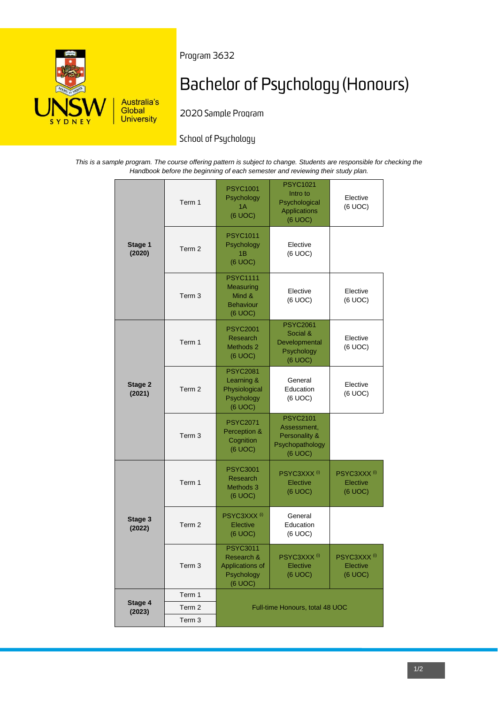

Program 3632

# **Bachelor of Psychology (Honours)**

2020 Sample Program

# School of Psychology

*This is a sample program. The course offering pattern is subject to change. Students are responsible for checking the Handbook before the beginning of each semester and reviewing their study plan.*

|                   | Term 1            | <b>PSYC1001</b><br>Psychology<br>1A                                       | <b>PSYC1021</b><br>Intro to<br>Psychological                                  | Elective<br>(6 UOC)                            |
|-------------------|-------------------|---------------------------------------------------------------------------|-------------------------------------------------------------------------------|------------------------------------------------|
| Stage 1<br>(2020) |                   | (6 UOC)                                                                   | Applications<br>(6 UOC)                                                       |                                                |
|                   | Term <sub>2</sub> | <b>PSYC1011</b><br>Psychology<br>1Β<br>(6 UOC)                            | Elective<br>(6 UOC)                                                           |                                                |
|                   | Term <sub>3</sub> | <b>PSYC1111</b><br>Measuring<br>Mind &<br><b>Behaviour</b><br>(6 UOC)     | Elective<br>(6 UOC)                                                           | Elective<br>(6 UOC)                            |
|                   | Term 1            | <b>PSYC2001</b><br>Research<br>Methods <sub>2</sub><br>(6 UOC)            | <b>PSYC2061</b><br>Social &<br>Developmental<br>Psychology<br>(6 UOC)         | Elective<br>(6 UOC)                            |
| Stage 2<br>(2021) | Term <sub>2</sub> | <b>PSYC2081</b><br>Learning &<br>Physiological<br>Psychology<br>(6 UOC)   | General<br>Education<br>(6 UOC)                                               | Elective<br>(6 UOC)                            |
|                   | Term <sub>3</sub> | <b>PSYC2071</b><br>Perception &<br>Cognition<br>(6 UOC)                   | <b>PSYC2101</b><br>Assessment,<br>Personality &<br>Psychopathology<br>(6 UOC) |                                                |
|                   | Term 1            | <b>PSYC3001</b><br>Research<br><b>Methods 3</b><br>(6 UOC)                | PSYC3XXX <sup>(i)</sup><br>Elective<br>(6 UOC)                                | PSYC3XXX <sup>(i)</sup><br>Elective<br>(6 UOC) |
| Stage 3<br>(2022) | Term <sub>2</sub> | PSYC3XXX <sup>(i)</sup><br>Elective<br>(6 UOC)                            | General<br>Education<br>(6 UOC)                                               |                                                |
|                   | Term 3            | <b>PSYC3011</b><br>Research &<br>Applications of<br>Psychology<br>(6 UOC) | PSYC3XXX <sup>(i)</sup><br>Elective<br>(6 UOC)                                | PSYC3XXX <sup>(i)</sup><br>Elective<br>(6 UOC) |
| Stage 4<br>(2023) | Term 1            | Full-time Honours, total 48 UOC                                           |                                                                               |                                                |
|                   | Term <sub>2</sub> |                                                                           |                                                                               |                                                |
|                   | Term <sub>3</sub> |                                                                           |                                                                               |                                                |